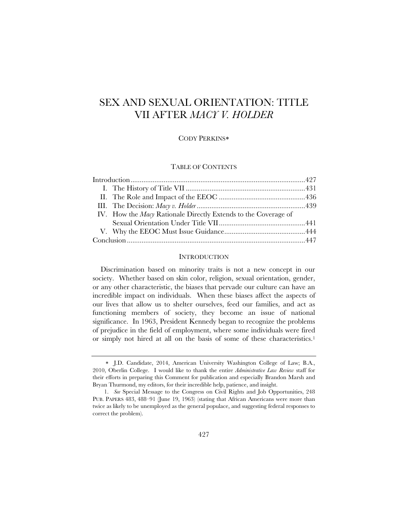# SEX AND SEXUAL ORIENTATION: TITLE VII AFTER *MACY V. HOLDER*

## CODY PERKINS

## TABLE OF CONTENTS

| IV. How the <i>Macy</i> Rationale Directly Extends to the Coverage of |  |
|-----------------------------------------------------------------------|--|
|                                                                       |  |
|                                                                       |  |
|                                                                       |  |

# **INTRODUCTION**

Discrimination based on minority traits is not a new concept in our society. Whether based on skin color, religion, sexual orientation, gender, or any other characteristic, the biases that pervade our culture can have an incredible impact on individuals. When these biases affect the aspects of our lives that allow us to shelter ourselves, feed our families, and act as functioning members of society, they become an issue of national significance. In 1963, President Kennedy began to recognize the problems of prejudice in the field of employment, where some individuals were fired or simply not hired at all on the basis of some of these characteristics.1

J.D. Candidate, 2014, American University Washington College of Law; B.A., 2010, Oberlin College. I would like to thank the entire *Administrative Law Review* staff for their efforts in preparing this Comment for publication and especially Brandon Marsh and Bryan Thurmond, my editors, for their incredible help, patience, and insight.

 <sup>1.</sup> *See* Special Message to the Congress on Civil Rights and Job Opportunities, 248 PUB. PAPERS 483, 488-91 (June 19, 1963) (stating that African Americans were more than twice as likely to be unemployed as the general populace, and suggesting federal responses to correct the problem).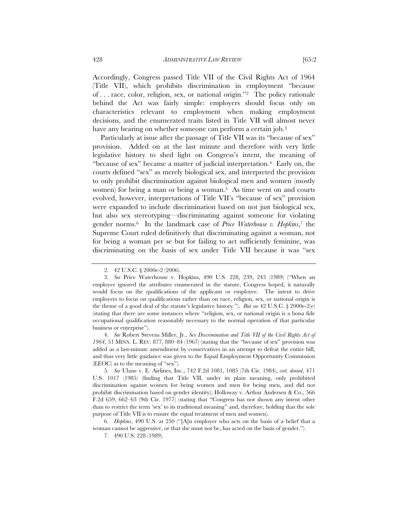Accordingly, Congress passed Title VII of the Civil Rights Act of 1964 (Title VII), which prohibits discrimination in employment "because of . . . race, color, religion, sex, or national origin."2 The policy rationale behind the Act was fairly simple: employers should focus only on characteristics relevant to employment when making employment decisions, and the enumerated traits listed in Title VII will almost never have any bearing on whether someone can perform a certain job.<sup>3</sup>

Particularly at issue after the passage of Title VII was its "because of sex" provision. Added on at the last minute and therefore with very little legislative history to shed light on Congress's intent, the meaning of "because of sex" became a matter of judicial interpretation.4 Early on, the courts defined "sex" as merely biological sex, and interpreted the provision to only prohibit discrimination against biological men and women (mostly women) for being a man or being a woman.<sup>5</sup> As time went on and courts evolved, however, interpretations of Title VII's "because of sex" provision were expanded to include discrimination based on not just biological sex, but also sex stereotyping—discriminating against someone for violating gender norms.6 In the landmark case of *Price Waterhouse v. Hopkins*,7 the Supreme Court ruled definitively that discriminating against a woman, not for being a woman per se but for failing to act sufficiently feminine, was discriminating on the basis of sex under Title VII because it was "sex

 4. *See* Robert Stevens Miller, Jr., *Sex Discrimination and Title VII of the Civil Rights Act of 1964*, 51 MINN. L. REV. 877, 880–84 (1967) (stating that the "because of sex" provision was added as a last-minute amendment by conservatives in an attempt to defeat the entire bill, and thus very little guidance was given to the Equal Employment Opportunity Commission (EEOC) as to the meaning of "sex").

 5. *See* Ulane v. E. Airlines, Inc., 742 F.2d 1081, 1085 (7th Cir. 1984), *cert. denied*, 471 U.S. 1017 (1985) (finding that Title VII, under its plain meaning, only prohibited discrimination against women for being women and men for being men, and did not prohibit discrimination based on gender identity); Holloway v. Arthur Andersen & Co., 566 F.2d 659, 662–63 (9th Cir. 1977) (stating that "Congress has not shown any intent other than to restrict the term 'sex' to its traditional meaning" and, therefore, holding that the sole purpose of Title VII is to ensure the equal treatment of men and women).

 6. *Hopkins*, 490 U.S. at 250 ("[A]n employer who acts on the basis of a belief that a woman cannot be aggressive, or that she must not be, has acted on the basis of gender.").

 <sup>2. 42</sup> U.S.C. § 2000e-2 (2006).

 <sup>3.</sup> *See* Price Waterhouse v. Hopkins, 490 U.S. 228, 239, 243 (1989) ("When an employer ignored the attributes enumerated in the statute, Congress hoped, it naturally would focus on the qualifications of the applicant or employee. The intent to drive employers to focus on qualifications rather than on race, religion, sex, or national origin is the theme of a good deal of the statute's legislative history."). *But see* 42 U.S.C. § 2000e-2(e) (stating that there are some instances where "religion, sex, or national origin is a bona fide occupational qualification reasonably necessary to the normal operation of that particular business or enterprise").

 <sup>7. 490</sup> U.S. 228 (1989)*.*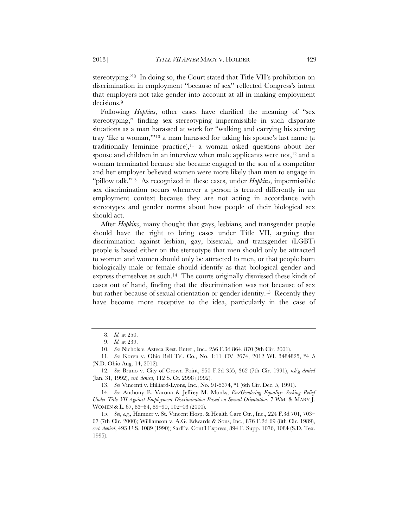stereotyping."8 In doing so, the Court stated that Title VII's prohibition on discrimination in employment "because of sex" reflected Congress's intent that employers not take gender into account at all in making employment decisions.9

Following *Hopkins*, other cases have clarified the meaning of "sex stereotyping," finding sex stereotyping impermissible in such disparate situations as a man harassed at work for "walking and carrying his serving tray 'like a woman,'"10 a man harassed for taking his spouse's last name (a traditionally feminine practice), $11$  a woman asked questions about her spouse and children in an interview when male applicants were not, $12$  and a woman terminated because she became engaged to the son of a competitor and her employer believed women were more likely than men to engage in "pillow talk."13 As recognized in these cases, under *Hopkins*, impermissible sex discrimination occurs whenever a person is treated differently in an employment context because they are not acting in accordance with stereotypes and gender norms about how people of their biological sex should act.

After *Hopkins*, many thought that gays, lesbians, and transgender people should have the right to bring cases under Title VII, arguing that discrimination against lesbian, gay, bisexual, and transgender (LGBT) people is based either on the stereotype that men should only be attracted to women and women should only be attracted to men, or that people born biologically male or female should identify as that biological gender and express themselves as such.14 The courts originally dismissed these kinds of cases out of hand, finding that the discrimination was not because of sex but rather because of sexual orientation or gender identity.15 Recently they have become more receptive to the idea, particularly in the case of

 12. *See* Bruno v. City of Crown Point, 950 F.2d 355, 362 (7th Cir. 1991), *reh'g denied* (Jan. 31, 1992), *cert. denied*, 112 S. Ct. 2998 (1992).

13. *See* Vincenti v. Hilliard-Lyons, Inc., No. 91-5374, \*1 (6th Cir. Dec. 5, 1991).

 14. *See* Anthony E. Varona & Jeffrey M. Monks, *En/Gendering Equality: Seeking Relief Under Title VII Against Employment Discrimination Based on Sexual Orientation*, 7 WM. & MARY J. WOMEN & L. 67, 83–84, 89–90, 102–03 (2000).

 15. *See, e.g.,* Hamner v. St. Vincent Hosp. & Health Care Ctr., Inc., 224 F.3d 701, 703– 07 (7th Cir. 2000); Williamson v. A.G. Edwards & Sons, Inc., 876 F.2d 69 (8th Cir. 1989), *cert. denied*, 493 U.S. 1089 (1990); Sarff v. Cont'l Express, 894 F. Supp. 1076, 1084 (S.D. Tex. 1995).

 <sup>8.</sup> *Id.* at 250.

 <sup>9.</sup> *Id.* at 239.

 <sup>10.</sup> *See* Nichols v. Azteca Rest. Enter., Inc., 256 F.3d 864, 870 (9th Cir. 2001).

 <sup>11.</sup> *See* Koren v. Ohio Bell Tel. Co., No. 1:11–CV–2674, 2012 WL 3484825, \*4–5 (N.D. Ohio Aug. 14, 2012).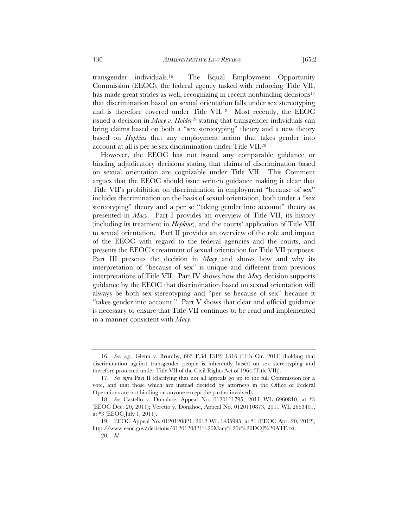transgender individuals.16 The Equal Employment Opportunity Commission (EEOC), the federal agency tasked with enforcing Title VII, has made great strides as well, recognizing in recent nonbinding decisions<sup>17</sup> that discrimination based on sexual orientation falls under sex stereotyping and is therefore covered under Title VII.18 Most recently, the EEOC issued a decision in *Macy v. Holder*19 stating that transgender individuals can bring claims based on both a "sex stereotyping" theory and a new theory based on *Hopkins* that any employment action that takes gender into account at all is per se sex discrimination under Title VII.20

However, the EEOC has not issued any comparable guidance or binding adjudicatory decisions stating that claims of discrimination based on sexual orientation are cognizable under Title VII. This Comment argues that the EEOC should issue written guidance making it clear that Title VII's prohibition on discrimination in employment "because of sex" includes discrimination on the basis of sexual orientation, both under a "sex stereotyping" theory and a per se "taking gender into account" theory as presented in *Macy*. Part I provides an overview of Title VII, its history (including its treatment in *Hopkins*), and the courts' application of Title VII to sexual orientation. Part II provides an overview of the role and impact of the EEOC with regard to the federal agencies and the courts, and presents the EEOC's treatment of sexual orientation for Title VII purposes. Part III presents the decision in *Macy* and shows how and why its interpretation of "because of sex" is unique and different from previous interpretations of Title VII. Part IV shows how the *Macy* decision supports guidance by the EEOC that discrimination based on sexual orientation will always be both sex stereotyping and "per se because of sex" because it "takes gender into account." Part V shows that clear and official guidance is necessary to ensure that Title VII continues to be read and implemented in a manner consistent with *Macy*.

 <sup>16.</sup> *See, e.g.*, Glenn v. Brumby, 663 F.3d 1312, 1316 (11th Cir. 2011) (holding that discrimination against transgender people is inherently based on sex stereotyping and therefore protected under Title VII of the Civil Rights Act of 1964 (Title VII)).

 <sup>17.</sup> *See infra* Part II (clarifying that not all appeals go up to the full Commission for a vote, and that those which are instead decided by attorneys in the Office of Federal Operations are not binding on anyone except the parties involved).

 <sup>18.</sup> *See* Castello v. Donahoe, Appeal No. 0120111795, 2011 WL 6960810, at \*3 (EEOC Dec. 20, 2011); Veretto v. Donahoe, Appeal No. 0120110873, 2011 WL 2663401, at \*3 (EEOC July 1, 2011).

 <sup>19.</sup> EEOC Appeal No. 0120120821, 2012 WL 1435995, at \*1 (EEOC Apr. 20, 2012), http://www.eeoc.gov/decisions/0120120821%20Macy%20v%20DOJ%20ATF.txt.

 <sup>20.</sup> *Id.*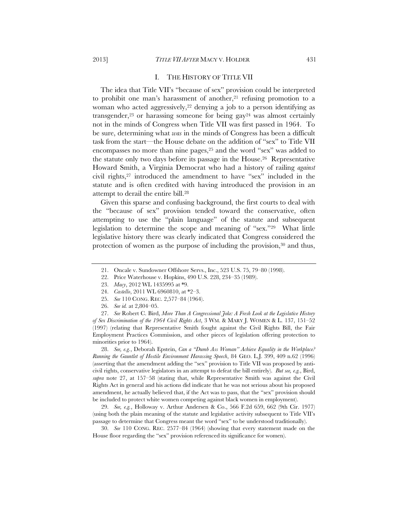#### I. THE HISTORY OF TITLE VII

The idea that Title VII's "because of sex" provision could be interpreted to prohibit one man's harassment of another,<sup>21</sup> refusing promotion to a woman who acted aggressively,22 denying a job to a person identifying as transgender,<sup>23</sup> or harassing someone for being  $gay^{24}$  was almost certainly not in the minds of Congress when Title VII was first passed in 1964. To be sure, determining what *was* in the minds of Congress has been a difficult task from the start—the House debate on the addition of "sex" to Title VII encompasses no more than nine pages,<sup>25</sup> and the word "sex" was added to the statute only two days before its passage in the House.26 Representative Howard Smith, a Virginia Democrat who had a history of railing *against*  civil rights,27 introduced the amendment to have "sex" included in the statute and is often credited with having introduced the provision in an attempt to derail the entire bill.28

Given this sparse and confusing background, the first courts to deal with the "because of sex" provision tended toward the conservative, often attempting to use the "plain language" of the statute and subsequent legislation to determine the scope and meaning of "sex."29 What little legislative history there was clearly indicated that Congress considered the protection of women as the purpose of including the provision,<sup>30</sup> and thus,

- 22. Price Waterhouse v. Hopkins, 490 U.S. 228, 234–35 (1989).
- 23. *Macy*, 2012 WL 1435995 at \*9.
- 24. *Castello*, 2011 WL 6960810, at \*2–3.
- 25. *See* 110 CONG. REC. 2,577–84 (1964).
- 26. *See id.* at 2,804–05.

 27. *See* Robert C. Bird, *More Than A Congressional Joke: A Fresh Look at the Legislative History of Sex Discrimination of the 1964 Civil Rights Act*, 3 WM. & MARY J. WOMEN & L. 137, 151–52 (1997) (relating that Representative Smith fought against the Civil Rights Bill, the Fair Employment Practices Commission, and other pieces of legislation offering protection to minorities prior to 1964).

 28. *See, e.g.*, Deborah Epstein, *Can a "Dumb Ass Woman" Achieve Equality in the Workplace? Running the Gauntlet of Hostile Environment Harassing Speech*, 84 GEO. L.J. 399, 409 n.62 (1996) (asserting that the amendment adding the "sex" provision to Title VII was proposed by anticivil rights, conservative legislators in an attempt to defeat the bill entirely). *But see, e.g.*, Bird, *supra* note 27, at 157–58 (stating that, while Representative Smith was against the Civil Rights Act in general and his actions did indicate that he was not serious about his proposed amendment, he actually believed that, if the Act was to pass, that the "sex" provision should be included to protect white women competing against black women in employment).

 29. *See, e.g.*, Holloway v. Arthur Andersen & Co., 566 F.2d 659, 662 (9th Cir. 1977) (using both the plain meaning of the statute and legislative activity subsequent to Title VII's passage to determine that Congress meant the word "sex" to be understood traditionally).

 30. *See* 110 CONG. REC. 2577–84 (1964) (showing that every statement made on the House floor regarding the "sex" provision referenced its significance for women).

 <sup>21.</sup> Oncale v. Sundowner Offshore Servs., Inc., 523 U.S. 75, 79–80 (1998).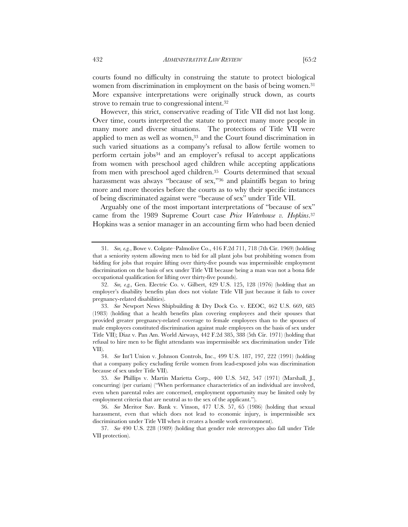courts found no difficulty in construing the statute to protect biological women from discrimination in employment on the basis of being women.<sup>31</sup> More expansive interpretations were originally struck down, as courts strove to remain true to congressional intent.32

However, this strict, conservative reading of Title VII did not last long. Over time, courts interpreted the statute to protect many more people in many more and diverse situations. The protections of Title VII were applied to men as well as women,<sup>33</sup> and the Court found discrimination in such varied situations as a company's refusal to allow fertile women to perform certain jobs34 and an employer's refusal to accept applications from women with preschool aged children while accepting applications from men with preschool aged children.35 Courts determined that sexual harassment was always "because of sex,"<sup>36</sup> and plaintiffs began to bring more and more theories before the courts as to why their specific instances of being discriminated against were "because of sex" under Title VII.

Arguably one of the most important interpretations of "because of sex" came from the 1989 Supreme Court case *Price Waterhouse v. Hopkins*.37 Hopkins was a senior manager in an accounting firm who had been denied

 <sup>31.</sup> *See, e.g.*, Bowe v. Colgate–Palmolive Co., 416 F.2d 711, 718 (7th Cir. 1969) (holding that a seniority system allowing men to bid for all plant jobs but prohibiting women from bidding for jobs that require lifting over thirty-five pounds was impermissible employment discrimination on the basis of sex under Title VII because being a man was not a bona fide occupational qualification for lifting over thirty-five pounds).

 <sup>32.</sup> *See, e.g.,* Gen. Electric Co. v. Gilbert, 429 U.S. 125, 128 (1976) (holding that an employer's disability benefits plan does not violate Title VII just because it fails to cover pregnancy-related disabilities).

 <sup>33.</sup> *See* Newport News Shipbuilding & Dry Dock Co. v. EEOC, 462 U.S. 669, 685 (1983) (holding that a health benefits plan covering employees and their spouses that provided greater pregnancy-related coverage to female employees than to the spouses of male employees constituted discrimination against male employees on the basis of sex under Title VII); Diaz v. Pan Am. World Airways, 442 F.2d 385, 388 (5th Cir. 1971) (holding that refusal to hire men to be flight attendants was impermissible sex discrimination under Title VII).

 <sup>34.</sup> *See* Int'l Union v. Johnson Controls, Inc., 499 U.S. 187, 197, 222 (1991) (holding that a company policy excluding fertile women from lead-exposed jobs was discrimination because of sex under Title VII).

 <sup>35.</sup> *See* Phillips v. Martin Marietta Corp., 400 U.S. 542, 547 (1971) (Marshall, J., concurring) (per curiam) ("When performance characteristics of an individual are involved, even when parental roles are concerned, employment opportunity may be limited only by employment criteria that are neutral as to the sex of the applicant.").

 <sup>36.</sup> *See* Meritor Sav. Bank v. Vinson, 477 U.S. 57, 65 (1986) (holding that sexual harassment, even that which does not lead to economic injury, is impermissible sex discrimination under Title VII when it creates a hostile work environment).

 <sup>37.</sup> *See* 490 U.S. 228 (1989) (holding that gender role stereotypes also fall under Title VII protection).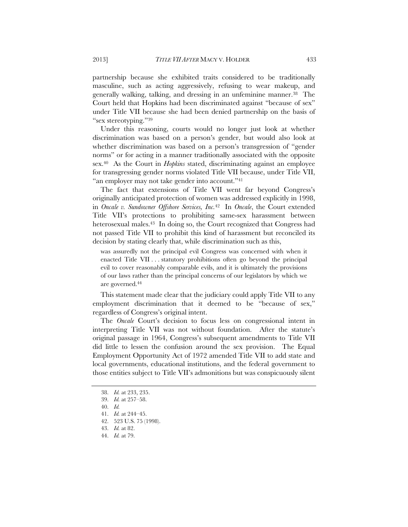partnership because she exhibited traits considered to be traditionally masculine, such as acting aggressively, refusing to wear makeup, and generally walking, talking, and dressing in an unfeminine manner.38 The Court held that Hopkins had been discriminated against "because of sex" under Title VII because she had been denied partnership on the basis of "sex stereotyping."39

Under this reasoning, courts would no longer just look at whether discrimination was based on a person's gender, but would also look at whether discrimination was based on a person's transgression of "gender norms" or for acting in a manner traditionally associated with the opposite sex.40 As the Court in *Hopkins* stated, discriminating against an employee for transgressing gender norms violated Title VII because, under Title VII, "an employer may not take gender into account."41

The fact that extensions of Title VII went far beyond Congress's originally anticipated protection of women was addressed explicitly in 1998, in *Oncale v. Sundowner Offshore Services, Inc.*42 In *Oncale*, the Court extended Title VII's protections to prohibiting same-sex harassment between heterosexual males.43 In doing so, the Court recognized that Congress had not passed Title VII to prohibit this kind of harassment but reconciled its decision by stating clearly that, while discrimination such as this,

was assuredly not the principal evil Congress was concerned with when it enacted Title VII . . . statutory prohibitions often go beyond the principal evil to cover reasonably comparable evils, and it is ultimately the provisions of our laws rather than the principal concerns of our legislators by which we are governed.44

This statement made clear that the judiciary could apply Title VII to any employment discrimination that it deemed to be "because of sex," regardless of Congress's original intent.

The *Oncale* Court's decision to focus less on congressional intent in interpreting Title VII was not without foundation. After the statute's original passage in 1964, Congress's subsequent amendments to Title VII did little to lessen the confusion around the sex provision. The Equal Employment Opportunity Act of 1972 amended Title VII to add state and local governments, educational institutions, and the federal government to those entities subject to Title VII's admonitions but was conspicuously silent

 <sup>38.</sup> *Id.* at 233, 235.

 <sup>39.</sup> *Id.* at 257–58.

 <sup>40.</sup> *Id.*

 <sup>41.</sup> *Id.* at 244–45.

 <sup>42. 523</sup> U.S. 75 (1998).

 <sup>43.</sup> *Id.* at 82.

 <sup>44.</sup> *Id.* at 79.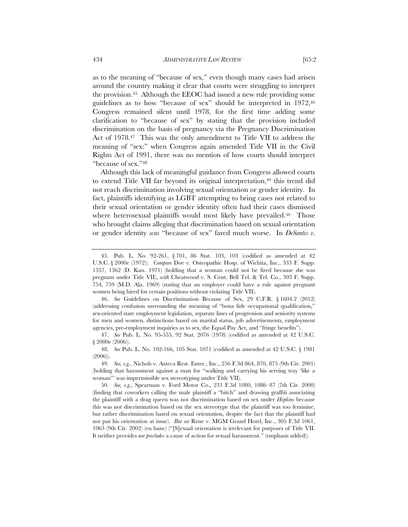as to the meaning of "because of sex," even though many cases had arisen around the country making it clear that courts were struggling to interpret the provision.45 Although the EEOC had issued a new rule providing some guidelines as to how "because of sex" should be interpreted in 1972,46 Congress remained silent until 1978, for the first time adding some clarification to "because of sex" by stating that the provision included discrimination on the basis of pregnancy via the Pregnancy Discrimination Act of 1978.<sup>47</sup> This was the only amendment to Title VII to address the meaning of "sex:" when Congress again amended Title VII in the Civil Rights Act of 1991, there was no mention of how courts should interpret "because of sex."48

Although this lack of meaningful guidance from Congress allowed courts to extend Title VII far beyond its original interpretation,<sup>49</sup> this trend did not reach discrimination involving sexual orientation or gender identity. In fact, plaintiffs identifying as LGBT attempting to bring cases not related to their sexual orientation or gender identity often had their cases dismissed where heterosexual plaintiffs would most likely have prevailed.<sup>50</sup> Those who brought claims alleging that discrimination based on sexual orientation or gender identity *was* "because of sex" fared much worse. In *DeSantis v.* 

 <sup>45.</sup> Pub. L. No. 92-261, § 701, 86 Stat. 103, 103 (codified as amended at 42 U.S.C. § 2000e (1972)). *Compare* Doe v. Osteopathic Hosp. of Wichita, Inc., 333 F. Supp. 1357, 1362 (D. Kan. 1971) (holding that a woman could not be fired because she was pregnant under Title VII), *with* Cheatwood v. S. Cent. Bell Tel. & Tel. Co., 303 F. Supp. 754, 759 (M.D. Ala. 1969) (stating that an employer could have a rule against pregnant women being hired for certain positions without violating Title VII).

 <sup>46.</sup> *See* Guidelines on Discrimination Because of Sex, 29 C.F.R. § 1604.2 (2012) (addressing confusion surrounding the meaning of "bona fide occupational qualification," sex-oriented state employment legislation, separate lines of progression and seniority systems for men and women, distinctions based on marital status, job advertisements, employment agencies, pre-employment inquiries as to sex, the Equal Pay Act, and "fringe benefits").

 <sup>47.</sup> *See* Pub. L. No. 95-555, 92 Stat. 2076 (1978) (codified as amended at 42 U.S.C. § 2000e (2006)).

 <sup>48.</sup> *See* Pub. L. No. 102-166, 105 Stat. 1071 (codified as amended at 42 U.S.C. § 1981 (2006)).

 <sup>49.</sup> *See, e.g.*, Nichols v. Azteca Rest. Enter., Inc., 256 F.3d 864, 870, 875 (9th Cir. 2001) (holding that harassment against a man for "walking and carrying his serving tray 'like a woman'" was impermissible sex stereotyping under Title VII).

 <sup>50.</sup> *See, e.g.*, Spearman v. Ford Motor Co., 231 F.3d 1080, 1086–87 (7th Cir. 2000) (finding that coworkers calling the male plaintiff a "bitch" and drawing graffiti associating the plaintiff with a drag queen was not discrimination based on sex under *Hopkins* because this was not discrimination based on the sex stereotype that the plaintiff was too feminine, but rather discrimination based on sexual orientation, despite the fact that the plaintiff had not put his orientation at issue). *But see* Rene v. MGM Grand Hotel, Inc., 305 F.3d 1061, 1063 (9th Cir. 2002) (en banc) ("[S]exual orientation is irrelevant for purposes of Title VII. It neither provides *nor precludes* a cause of action for sexual harassment." (emphasis added)).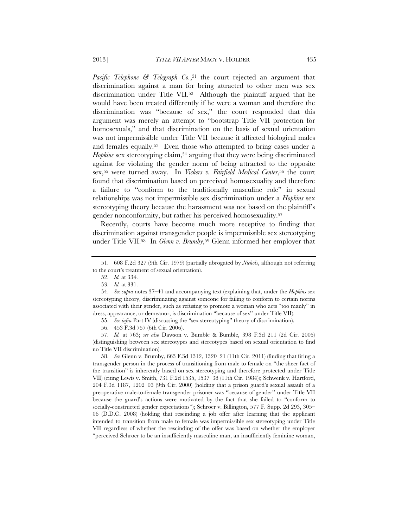*Pacific Telephone & Telegraph Co.*,51 the court rejected an argument that discrimination against a man for being attracted to other men was sex discrimination under Title VII.52 Although the plaintiff argued that he would have been treated differently if he were a woman and therefore the discrimination was "because of sex," the court responded that this argument was merely an attempt to "bootstrap Title VII protection for homosexuals," and that discrimination on the basis of sexual orientation was not impermissible under Title VII because it affected biological males and females equally.53 Even those who attempted to bring cases under a *Hopkins* sex stereotyping claim,54 arguing that they were being discriminated against for violating the gender norm of being attracted to the opposite sex,55 were turned away. In *Vickers v. Fairfield Medical Center*,56 the court found that discrimination based on perceived homosexuality and therefore a failure to "conform to the traditionally masculine role" in sexual relationships was not impermissible sex discrimination under a *Hopkins* sex stereotyping theory because the harassment was not based on the plaintiff's gender nonconformity, but rather his perceived homosexuality.57

Recently, courts have become much more receptive to finding that discrimination against transgender people is impermissible sex stereotyping under Title VII.<sup>58</sup> In *Glenn v. Brumby*,<sup>59</sup> Glenn informed her employer that

 57. *Id.* at 763; *see also* Dawson v. Bumble & Bumble, 398 F.3d 211 (2d Cir. 2005) (distinguishing between sex stereotypes and stereotypes based on sexual orientation to find no Title VII discrimination).

 58. *See* Glenn v. Brumby, 663 F.3d 1312, 1320–21 (11th Cir. 2011) (finding that firing a transgender person in the process of transitioning from male to female on "the sheer fact of the transition" is inherently based on sex stereotyping and therefore protected under Title VII) (citing Lewis v. Smith, 731 F.2d 1535, 1537–38 (11th Cir. 1984)); Schwenk v. Hartford, 204 F.3d 1187, 1202–03 (9th Cir. 2000) (holding that a prison guard's sexual assault of a preoperative male-to-female transgender prisoner was "because of gender" under Title VII because the guard's actions were motivated by the fact that she failed to "conform to socially-constructed gender expectations"); Schroer v. Billington, 577 F. Supp. 2d 293, 305– 06 (D.D.C. 2008) (holding that rescinding a job offer after learning that the applicant intended to transition from male to female was impermissible sex stereotyping under Title VII regardless of whether the rescinding of the offer was based on whether the employer "perceived Schroer to be an insufficiently masculine man, an insufficiently feminine woman,

 <sup>51. 608</sup> F.2d 327 (9th Cir. 1979) (partially abrogated by *Nichols*, although not referring to the court's treatment of sexual orientation).

 <sup>52.</sup> *Id.* at 334.

 <sup>53.</sup> *Id.* at 331.

 <sup>54.</sup> *See supra* notes 37–41 and accompanying text (explaining that, under the *Hopkins* sex stereotyping theory, discriminating against someone for failing to conform to certain norms associated with their gender, such as refusing to promote a woman who acts "too manly" in dress, appearance, or demeanor, is discrimination "because of sex" under Title VII).

 <sup>55.</sup> *See infra* Part IV (discussing the "sex stereotyping" theory of discrimination).

 <sup>56. 453</sup> F.3d 757 (6th Cir. 2006).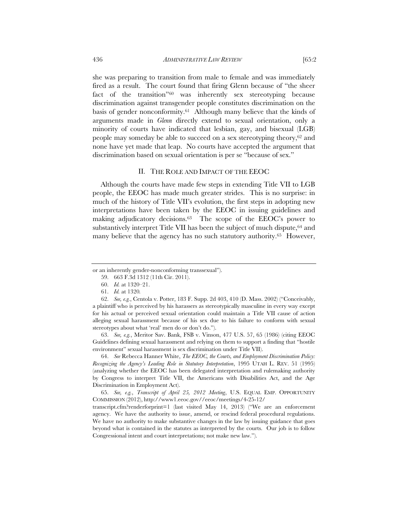she was preparing to transition from male to female and was immediately fired as a result. The court found that firing Glenn because of "the sheer fact of the transition"60 was inherently sex stereotyping because discrimination against transgender people constitutes discrimination on the basis of gender nonconformity.61 Although many believe that the kinds of arguments made in *Glenn* directly extend to sexual orientation, only a minority of courts have indicated that lesbian, gay, and bisexual (LGB) people may someday be able to succeed on a sex stereotyping theory,62 and none have yet made that leap. No courts have accepted the argument that discrimination based on sexual orientation is per se "because of sex."

## II. THE ROLE AND IMPACT OF THE EEOC

Although the courts have made few steps in extending Title VII to LGB people, the EEOC has made much greater strides. This is no surprise: in much of the history of Title VII's evolution, the first steps in adopting new interpretations have been taken by the EEOC in issuing guidelines and making adjudicatory decisions.63 The scope of the EEOC's power to substantively interpret Title VII has been the subject of much dispute, <sup>64</sup> and many believe that the agency has no such statutory authority.<sup>65</sup> However,

 63. *See, e.g.*, Meritor Sav. Bank, FSB v. Vinson, 477 U.S. 57, 65 (1986) (citing EEOC Guidelines defining sexual harassment and relying on them to support a finding that "hostile environment" sexual harassment is sex discrimination under Title VII).

 64. *See* Rebecca Hanner White, *The EEOC, the Courts, and Employment Discrimination Policy: Recognizing the Agency's Leading Role in Statutory Interpretation*, 1995 UTAH L. REV. 51 (1995) (analyzing whether the EEOC has been delegated interpretation and rulemaking authority by Congress to interpret Title VII, the Americans with Disabilities Act, and the Age Discrimination in Employment Act).

 65. *See, e.g.*, *Transcript of April 25, 2012 Meeting*, U.S. EQUAL EMP. OPPORTUNITY COMMISSION (2012), http://www1.eeoc.gov//eeoc/meetings/4-25-12/

transcript.cfm?renderforprint=1 (last visited May 14, 2013) ("We are an enforcement agency. We have the authority to issue, amend, or rescind federal procedural regulations. We have no authority to make substantive changes in the law by issuing guidance that goes beyond what is contained in the statutes as interpreted by the courts. Our job is to follow Congressional intent and court interpretations; not make new law.").

or an inherently gender-nonconforming transsexual").

 <sup>59. 663</sup> F.3d 1312 (11th Cir. 2011).

 <sup>60.</sup> *Id.* at 1320–21.

 <sup>61.</sup> *Id.* at 1320*.*

 <sup>62.</sup> *See, e.g.*, Centola v. Potter, 183 F. Supp. 2d 403, 410 (D. Mass. 2002) ("Conceivably, a plaintiff who is perceived by his harassers as stereotypically masculine in every way except for his actual or perceived sexual orientation could maintain a Title VII cause of action alleging sexual harassment because of his sex due to his failure to conform with sexual stereotypes about what 'real' men do or don't do.").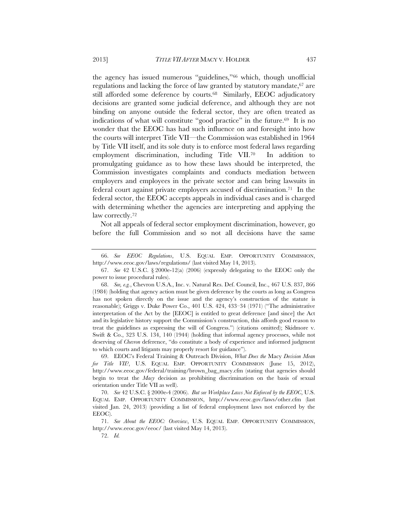the agency has issued numerous "guidelines,"66 which, though unofficial regulations and lacking the force of law granted by statutory mandate,<sup>67</sup> are still afforded some deference by courts.68 Similarly, EEOC adjudicatory decisions are granted some judicial deference, and although they are not binding on anyone outside the federal sector, they are often treated as indications of what will constitute "good practice" in the future.69 It is no wonder that the EEOC has had such influence on and foresight into how the courts will interpret Title VII—the Commission was established in 1964 by Title VII itself, and its sole duty is to enforce most federal laws regarding employment discrimination, including Title VII.70 In addition to promulgating guidance as to how these laws should be interpreted, the Commission investigates complaints and conducts mediation between employers and employees in the private sector and can bring lawsuits in federal court against private employers accused of discrimination.71 In the federal sector, the EEOC accepts appeals in individual cases and is charged with determining whether the agencies are interpreting and applying the law correctly.72

Not all appeals of federal sector employment discrimination, however, go before the full Commission and so not all decisions have the same

 69. EEOC's Federal Training & Outreach Division, *What Does the* Macy *Decision Mean for Title VII?*, U.S. EQUAL EMP. OPPORTUNITY COMMISSION (June 15, 2012), http://www.eeoc.gov/federal/training/brown\_bag\_macy.cfm (stating that agencies should begin to treat the *Macy* decision as prohibiting discrimination on the basis of sexual orientation under Title VII as well).

 <sup>66.</sup> *See EEOC Regulations*, U.S. EQUAL EMP. OPPORTUNITY COMMISSION, http://www.eeoc.gov/laws/regulations/ (last visited May 14, 2013).

 <sup>67.</sup> *See* 42 U.S.C. § 2000e-12(a) (2006) (expressly delegating to the EEOC only the power to issue procedural rules).

 <sup>68.</sup> *See, e.g.*, Chevron U.S.A., Inc. v. Natural Res. Def. Council, Inc., 467 U.S. 837, 866 (1984) (holding that agency action must be given deference by the courts as long as Congress has not spoken directly on the issue and the agency's construction of the statute is reasonable); Griggs v. Duke Power Co., 401 U.S. 424, 433–34 (1971) ("The administrative interpretation of the Act by the [EEOC] is entitled to great deference [and since] the Act and its legislative history support the Commission's construction, this affords good reason to treat the guidelines as expressing the will of Congress.") (citations omitted); Skidmore v. Swift & Co., 323 U.S. 134, 140 (1944) (holding that informal agency processes, while not deserving of *Chevron* deference, "do constitute a body of experience and informed judgment to which courts and litigants may properly resort for guidance").

 <sup>70.</sup> *See* 42 U.S.C. § 2000e-4 (2006). *But see Workplace Laws Not Enforced by the EEOC*, U.S. EQUAL EMP. OPPORTUNITY COMMISSION, http://www.eeoc.gov/laws/other.cfm (last visited Jan. 24, 2013) (providing a list of federal employment laws not enforced by the EEOC).

 <sup>71.</sup> *See About the EEOC: Overview*, U.S. EQUAL EMP. OPPORTUNITY COMMISSION, http://www.eeoc.gov/eeoc/ (last visited May 14, 2013).

 <sup>72.</sup> *Id.*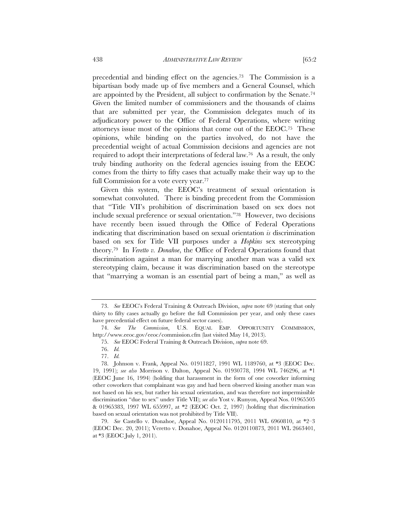precedential and binding effect on the agencies.73 The Commission is a bipartisan body made up of five members and a General Counsel, which are appointed by the President, all subject to confirmation by the Senate.74 Given the limited number of commissioners and the thousands of claims that are submitted per year, the Commission delegates much of its adjudicatory power to the Office of Federal Operations, where writing attorneys issue most of the opinions that come out of the EEOC.75 These opinions, while binding on the parties involved, do not have the precedential weight of actual Commission decisions and agencies are not required to adopt their interpretations of federal law.76 As a result, the only truly binding authority on the federal agencies issuing from the EEOC comes from the thirty to fifty cases that actually make their way up to the full Commission for a vote every year.77

Given this system, the EEOC's treatment of sexual orientation is somewhat convoluted. There is binding precedent from the Commission that "Title VII's prohibition of discrimination based on sex does not include sexual preference or sexual orientation."78 However, two decisions have recently been issued through the Office of Federal Operations indicating that discrimination based on sexual orientation *is* discrimination based on sex for Title VII purposes under a *Hopkins* sex stereotyping theory.79 In *Veretto v. Donahoe*, the Office of Federal Operations found that discrimination against a man for marrying another man was a valid sex stereotyping claim, because it was discrimination based on the stereotype that "marrying a woman is an essential part of being a man," as well as

 <sup>73.</sup> *See* EEOC's Federal Training & Outreach Division, *supra* note 69 (stating that only thirty to fifty cases actually go before the full Commission per year, and only these cases have precedential effect on future federal sector cases).

 <sup>74.</sup> *See The Commission*, U.S. EQUAL EMP. OPPORTUNITY COMMISSION, http://www.eeoc.gov/eeoc/commission.cfm (last visited May 14, 2013).

 <sup>75.</sup> *See* EEOC Federal Training & Outreach Division, *supra* note 69.

 <sup>76.</sup> *Id.*

 <sup>77.</sup> *Id.*

 <sup>78.</sup> Johnson v. Frank, Appeal No. 01911827, 1991 WL 1189760, at \*3 (EEOC Dec. 19, 1991); *see also* Morrison v. Dalton, Appeal No. 01930778, 1994 WL 746296, at \*1 (EEOC June 16, 1994) (holding that harassment in the form of one coworker informing other coworkers that complainant was gay and had been observed kissing another man was not based on his sex, but rather his sexual orientation, and was therefore not impermissible discrimination "due to sex" under Title VII); *see also* Yost v. Runyon, Appeal Nos. 01965505 & 01965383, 1997 WL 655997, at \*2 (EEOC Oct. 2, 1997) (holding that discrimination based on sexual orientation was not prohibited by Title VII).

 <sup>79.</sup> *See* Castello v. Donahoe, Appeal No. 0120111795, 2011 WL 6960810, at \*2–3 (EEOC Dec. 20, 2011); Veretto v. Donahoe, Appeal No. 0120110873, 2011 WL 2663401, at \*3 (EEOC July 1, 2011).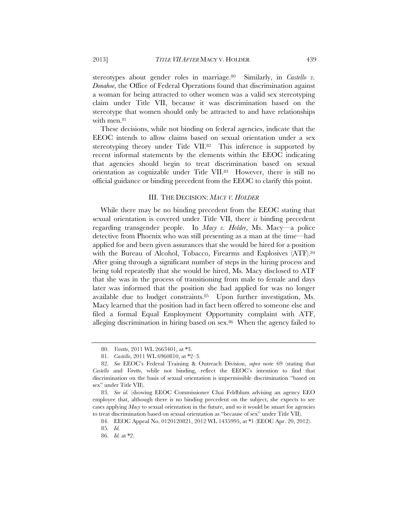stereotypes about gender roles in marriage.80Similarly, in *Castello v. Donahoe*, the Office of Federal Operations found that discrimination against a woman for being attracted to other women was a valid sex stereotyping claim under Title VII, because it was discrimination based on the stereotype that women should only be attracted to and have relationships with men.<sup>81</sup>

These decisions, while not binding on federal agencies, indicate that the EEOC intends to allow claims based on sexual orientation under a sex stereotyping theory under Title VII.<sup>82</sup> This inference is supported by recent informal statements by the elements within the EEOC indicating that agencies should begin to treat discrimination based on sexual orientation as cognizable under Title VII.83 However, there is still no official guidance or binding precedent from the EEOC to clarify this point.

## III. THE DECISION: *MACY V. HOLDER*

While there may be no binding precedent from the EEOC stating that sexual orientation is covered under Title VII, there *is* binding precedent regarding transgender people. In *Macy v. Holder*, Ms. Macy—a police detective from Phoenix who was still presenting as a man at the time—had applied for and been given assurances that she would be hired for a position with the Bureau of Alcohol, Tobacco, Firearms and Explosives (ATF).<sup>84</sup> After going through a significant number of steps in the hiring process and being told repeatedly that she would be hired, Ms. Macy disclosed to ATF that she was in the process of transitioning from male to female and days later was informed that the position she had applied for was no longer available due to budget constraints.85 Upon further investigation, Ms. Macy learned that the position had in fact been offered to someone else and filed a formal Equal Employment Opportunity complaint with ATF, alleging discrimination in hiring based on sex.86 When the agency failed to

 <sup>80.</sup> *Veretto*, 2011 WL 2663401, at \*3.

 <sup>81.</sup> *Castello*, 2011 WL 6960810, at \*2–3.

 <sup>82.</sup> *See* EEOC's Federal Training & Outreach Division, *supra* note 69 (stating that *Castello* and *Veretto*, while not binding, reflect the EEOC's intention to find that discrimination on the basis of sexual orientation is impermissible discrimination "based on sex" under Title VII).

 <sup>83.</sup> *See id.* (showing EEOC Commissioner Chai Feldblum advising an agency EEO employee that, although there is no binding precedent on the subject, she expects to see cases applying *Macy* to sexual orientation in the future, and so it would be smart for agencies to treat discrimination based on sexual orientation as "because of sex" under Title VII).

 <sup>84.</sup> EEOC Appeal No. 0120120821, 2012 WL 1435995, at \*1 (EEOC Apr. 20, 2012).

 <sup>85.</sup> *Id.* 

 <sup>86.</sup> *Id.* at \*2.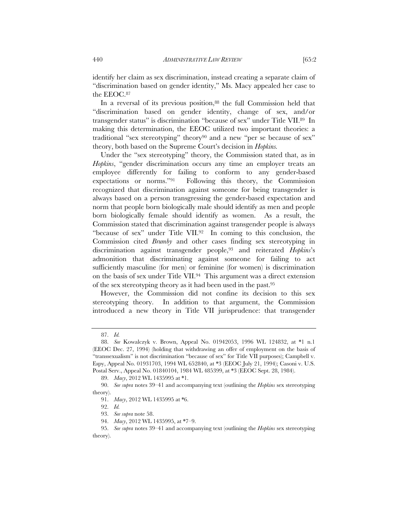identify her claim as sex discrimination, instead creating a separate claim of "discrimination based on gender identity," Ms. Macy appealed her case to the EEOC.87

In a reversal of its previous position,<sup>88</sup> the full Commission held that "discrimination based on gender identity, change of sex, and/or transgender status" is discrimination "because of sex" under Title VII.89 In making this determination, the EEOC utilized two important theories: a traditional "sex stereotyping" theory90 and a new "per se because of sex" theory, both based on the Supreme Court's decision in *Hopkins.*

Under the "sex stereotyping" theory, the Commission stated that, as in *Hopkins*, "gender discrimination occurs any time an employer treats an employee differently for failing to conform to any gender-based expectations or norms."91 Following this theory, the Commission recognized that discrimination against someone for being transgender is always based on a person transgressing the gender-based expectation and norm that people born biologically male should identify as men and people born biologically female should identify as women. As a result, the Commission stated that discrimination against transgender people is always "because of sex" under Title VII.92 In coming to this conclusion, the Commission cited *Brumby* and other cases finding sex stereotyping in discrimination against transgender people,93 and reiterated *Hopkins*'s admonition that discriminating against someone for failing to act sufficiently masculine (for men) or feminine (for women) is discrimination on the basis of sex under Title VII.94 This argument was a direct extension of the sex stereotyping theory as it had been used in the past.95

However, the Commission did not confine its decision to this sex stereotyping theory. In addition to that argument, the Commission introduced a new theory in Title VII jurisprudence: that transgender

 <sup>87.</sup> *Id.* 

 <sup>88.</sup> *See* Kowalczyk v. Brown, Appeal No. 01942053, 1996 WL 124832, at \*1 n.1 (EEOC Dec. 27, 1994) (holding that withdrawing an offer of employment on the basis of "transsexualism" is not discrimination "because of sex" for Title VII purposes); Campbell v. Espy, Appeal No. 01931703, 1994 WL 652840, at \*3 (EEOC July 21, 1994); Casoni v. U.S. Postal Serv., Appeal No. 01840104, 1984 WL 485399, at \*3 (EEOC Sept. 28, 1984).

 <sup>89.</sup> *Macy*, 2012 WL 1435995 at \*1.

 <sup>90.</sup> *See supra* notes 39–41 and accompanying text (outlining the *Hopkins* sex stereotyping theory).

 <sup>91.</sup> *Macy*, 2012 WL 1435995 at \*6.

 <sup>92.</sup> *Id.* 

 <sup>93.</sup> *See supra* note 58.

 <sup>94.</sup> *Macy*, 2012 WL 1435995, at \*7–9.

 <sup>95.</sup> *See supra* notes 39–41 and accompanying text (outlining the *Hopkins* sex stereotyping theory).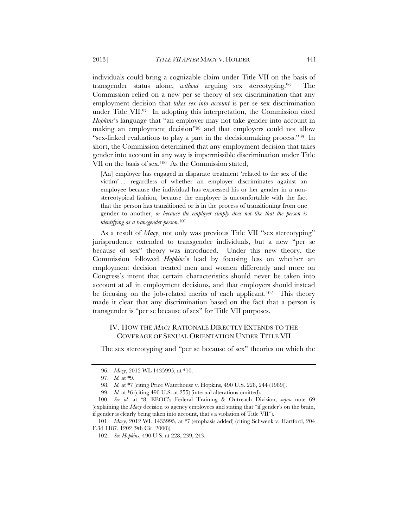individuals could bring a cognizable claim under Title VII on the basis of transgender status alone, *without* arguing sex stereotyping.96 The Commission relied on a new per se theory of sex discrimination that any employment decision that *takes sex into account* is per se sex discrimination under Title VII.97 In adopting this interpretation, the Commission cited *Hopkins*'s language that "an employer may not take gender into account in making an employment decision"98 and that employers could not allow "sex-linked evaluations to play a part in the decisionmaking process."99 In short, the Commission determined that any employment decision that takes gender into account in any way is impermissible discrimination under Title VII on the basis of sex.100 As the Commission stated,

[An] employer has engaged in disparate treatment 'related to the sex of the victim' . . . regardless of whether an employer discriminates against an employee because the individual has expressed his or her gender in a nonstereotypical fashion, because the employer is uncomfortable with the fact that the person has transitioned or is in the process of transitioning from one gender to another, *or because the employer simply does not like that the person is identifying as a transgender person*. 101

As a result of *Macy*, not only was previous Title VII "sex stereotyping" jurisprudence extended to transgender individuals, but a new "per se because of sex" theory was introduced. Under this new theory, the Commission followed *Hopkins*'s lead by focusing less on whether an employment decision treated men and women differently and more on Congress's intent that certain characteristics should never be taken into account at all in employment decisions, and that employers should instead be focusing on the job-related merits of each applicant.<sup>102</sup> This theory made it clear that any discrimination based on the fact that a person is transgender is "per se because of sex" for Title VII purposes.

# IV. HOW THE *MACY* RATIONALE DIRECTLY EXTENDS TO THE COVERAGE OF SEXUAL ORIENTATION UNDER TITLE VII

The sex stereotyping and "per se because of sex" theories on which the

 <sup>96.</sup> *Macy*, 2012 WL 1435995, at \*10.

 <sup>97.</sup> *Id.* at \*9.

 <sup>98.</sup> *Id.* at \*7 (citing Price Waterhouse v. Hopkins, 490 U.S. 228, 244 (1989)).

 <sup>99.</sup> *Id.* at \*6 (citing 490 U.S. at 255) (internal alterations omitted).

 <sup>100.</sup> *See id.* at \*8; EEOC's Federal Training & Outreach Division, *supra* note 69 (explaining the *Macy* decision to agency employees and stating that "if gender's on the brain, if gender is clearly being taken into account, that's a violation of Title VII").

 <sup>101.</sup> *Macy*, 2012 WL 1435995, at \*7 (emphasis added) (citing Schwenk v. Hartford, 204 F.3d 1187, 1202 (9th Cir. 2000)).

 <sup>102.</sup> *See Hopkins*, 490 U.S. at 228, 239, 243.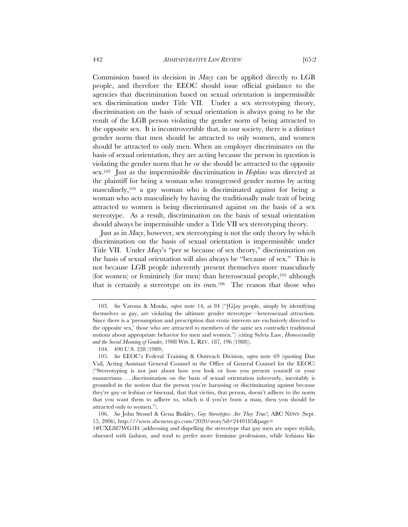Commission based its decision in *Macy* can be applied directly to LGB people, and therefore the EEOC should issue official guidance to the agencies that discrimination based on sexual orientation is impermissible sex discrimination under Title VII. Under a sex stereotyping theory, discrimination on the basis of sexual orientation is always going to be the result of the LGB person violating the gender norm of being attracted to the opposite sex. It is incontrovertible that, in our society, there is a distinct gender norm that men should be attracted to only women, and women should be attracted to only men. When an employer discriminates on the basis of sexual orientation, they are acting because the person in question is violating the gender norm that he or she should be attracted to the opposite sex.103 Just as the impermissible discrimination in *Hopkins* was directed at the plaintiff for being a woman who transgressed gender norms by acting masculinely,104 a gay woman who is discriminated against for being a woman who acts masculinely by having the traditionally male trait of being attracted to women is being discriminated against on the basis of a sex stereotype. As a result, discrimination on the basis of sexual orientation should always be impermissible under a Title VII sex stereotyping theory.

Just as in *Macy*, however, sex stereotyping is not the only theory by which discrimination on the basis of sexual orientation is impermissible under Title VII. Under *Macy*'s "per se because of sex theory," discrimination on the basis of sexual orientation will also always be "because of sex." This is not because LGB people inherently present themselves more masculinely (for women) or femininely (for men) than heterosexual people,  $105$  although that is certainly a stereotype on its own.106 The reason that those who

 <sup>103.</sup> *See* Varona & Monks, *supra* note 14, at 84 ("[G]ay people, simply by identifying themselves as gay, are violating the ultimate gender stereotype—heterosexual attraction. Since there is a 'presumption and prescription that erotic interests are exclusively directed to the opposite sex,' those who are attracted to members of the same sex contradict traditional notions about appropriate behavior for men and women.") (citing Sylvia Law, *Homosexuality and the Social Meaning of Gender*, 1988 WIS. L. REV. 187, 196 (1988)).

 <sup>104. 490</sup> U.S. 228 (1989).

 <sup>105.</sup> *See* EEOC's Federal Training & Outreach Division, *supra* note 69 (quoting Dan Vail, Acting Assistant General Counsel in the Office of General Counsel for the EEOC) ("Stereotyping is not just about how you look or how you present yourself or your mannerisms . . . discrimination on the basis of sexual orientation inherently, inevitably is grounded in the notion that the person you're harassing or discriminating against because they're gay or lesbian or bisexual, that that victim, that person, doesn't adhere to the norm that you want them to adhere to, which is if you're born a man, then you should be attracted only to women.").

 <sup>106.</sup> *See* John Stossel & Gena Binkley, *Gay Stereotypes: Are They True?*, ABC NEWS (Sept. 15, 2006), http:///www.abcnews.go.com/2020/story?id=2449185&page=

<sup>1#</sup>UXL887WG1I4 (addressing and dispelling the stereotype that gay men are super stylish, obsessed with fashion, and tend to prefer more feminine professions, while lesbians like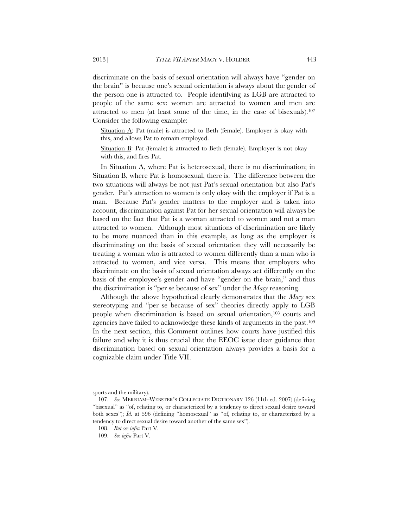discriminate on the basis of sexual orientation will always have "gender on the brain" is because one's sexual orientation is always about the gender of the person one is attracted to. People identifying as LGB are attracted to people of the same sex: women are attracted to women and men are attracted to men (at least some of the time, in the case of bisexuals).107 Consider the following example:

Situation  $\Delta$ : Pat (male) is attracted to Beth (female). Employer is okay with this, and allows Pat to remain employed.

Situation B: Pat (female) is attracted to Beth (female). Employer is not okay with this, and fires Pat.

In Situation A, where Pat is heterosexual, there is no discrimination; in Situation B, where Pat is homosexual, there is. The difference between the two situations will always be not just Pat's sexual orientation but also Pat's gender. Pat's attraction to women is only okay with the employer if Pat is a man. Because Pat's gender matters to the employer and is taken into account, discrimination against Pat for her sexual orientation will always be based on the fact that Pat is a woman attracted to women and not a man attracted to women. Although most situations of discrimination are likely to be more nuanced than in this example, as long as the employer is discriminating on the basis of sexual orientation they will necessarily be treating a woman who is attracted to women differently than a man who is attracted to women, and vice versa. This means that employers who discriminate on the basis of sexual orientation always act differently on the basis of the employee's gender and have "gender on the brain," and thus the discrimination is "per se because of sex" under the *Macy* reasoning.

Although the above hypothetical clearly demonstrates that the *Macy* sex stereotyping and "per se because of sex" theories directly apply to LGB people when discrimination is based on sexual orientation,108 courts and agencies have failed to acknowledge these kinds of arguments in the past.109 In the next section, this Comment outlines how courts have justified this failure and why it is thus crucial that the EEOC issue clear guidance that discrimination based on sexual orientation always provides a basis for a cognizable claim under Title VII.

sports and the military).

 <sup>107.</sup> *See* MERRIAM–WEBSTER'S COLLEGIATE DICTIONARY 126 (11th ed. 2007) (defining "bisexual" as "of, relating to, or characterized by a tendency to direct sexual desire toward both sexes"); *Id.* at 596 (defining "homosexual" as "of, relating to, or characterized by a tendency to direct sexual desire toward another of the same sex").

 <sup>108.</sup> *But see infra* Part V.

 <sup>109.</sup> *See infra* Part V.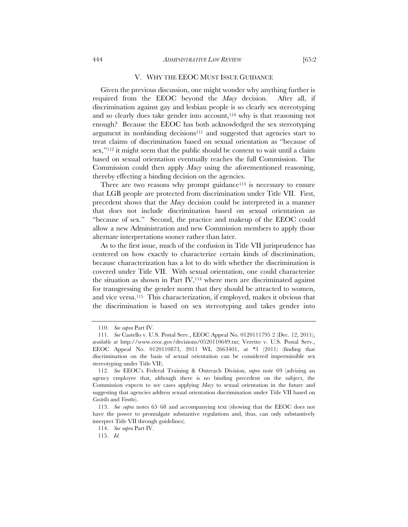#### V. WHY THE EEOC MUST ISSUE GUIDANCE

Given the previous discussion, one might wonder why anything further is required from the EEOC beyond the *Macy* decision. After all, if discrimination against gay and lesbian people is so clearly sex stereotyping and so clearly does take gender into account,<sup>110</sup> why is that reasoning not enough? Because the EEOC has both acknowledged the sex stereotyping argument in nonbinding decisions<sup>111</sup> and suggested that agencies start to treat claims of discrimination based on sexual orientation as "because of sex,"<sup>112</sup> it might seem that the public should be content to wait until a claim based on sexual orientation eventually reaches the full Commission. The Commission could then apply *Macy* using the aforementioned reasoning, thereby effecting a binding decision on the agencies.

There are two reasons why prompt guidance<sup>113</sup> is necessary to ensure that LGB people are protected from discrimination under Title VII. First, precedent shows that the *Macy* decision could be interpreted in a manner that does not include discrimination based on sexual orientation as "because of sex." Second, the practice and makeup of the EEOC could allow a new Administration and new Commission members to apply those alternate interpretations sooner rather than later.

As to the first issue, much of the confusion in Title VII jurisprudence has centered on how exactly to characterize certain kinds of discrimination, because characterization has a lot to do with whether the discrimination is covered under Title VII. With sexual orientation, one could characterize the situation as shown in Part IV,114 where men are discriminated against for transgressing the gender norm that they should be attracted to women, and vice versa.115 This characterization, if employed, makes it obvious that the discrimination is based on sex stereotyping and takes gender into

114. *See supra* Part IV.

 <sup>110.</sup> *See supra* Part IV.

 <sup>111.</sup> *See* Castello v. U.S. Postal Serv., EEOC Appeal No. 0120111795 2 (Dec. 12, 2011), *available at* http://www.eeoc.gov/decisions/0520110649.txt; Veretto v. U.S. Postal Serv., EEOC Appeal No. 0120110873, 2011 WL 2663401, at \*3 (2011) (finding that discrimination on the basis of sexual orientation can be considered impermissible sex stereotyping under Title VII).

 <sup>112.</sup> *See* EEOC's Federal Training & Outreach Division, *supra* note 69 (advising an agency employee that, although there is no binding precedent on the subject, the Commission expects to see cases applying *Macy* to sexual orientation in the future and suggesting that agencies address sexual orientation discrimination under Title VII based on *Castello* and *Veretto*).

 <sup>113.</sup> *See supra* notes 65–68 and accompanying text (showing that the EEOC does not have the power to promulgate substantive regulations and, thus, can only substantively interpret Title VII through guidelines).

 <sup>115.</sup> *Id.*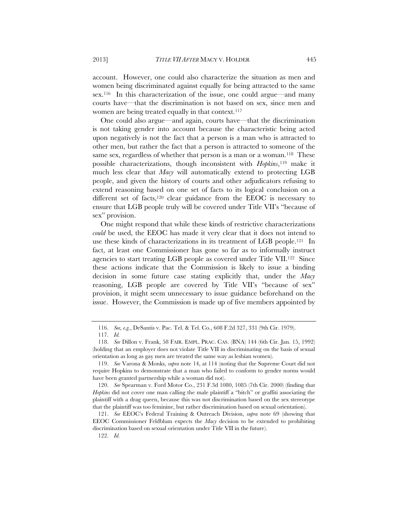account. However, one could also characterize the situation as men and women being discriminated against equally for being attracted to the same sex.116 In this characterization of the issue, one could argue—and many courts have—that the discrimination is not based on sex, since men and women are being treated equally in that context.<sup>117</sup>

One could also argue—and again, courts have—that the discrimination is not taking gender into account because the characteristic being acted upon negatively is not the fact that a person is a man who is attracted to other men, but rather the fact that a person is attracted to someone of the same sex, regardless of whether that person is a man or a woman.<sup>118</sup> These possible characterizations, though inconsistent with *Hopkins*,119 make it much less clear that *Macy* will automatically extend to protecting LGB people, and given the history of courts and other adjudicators refusing to extend reasoning based on one set of facts to its logical conclusion on a different set of facts,<sup>120</sup> clear guidance from the EEOC is necessary to ensure that LGB people truly will be covered under Title VII's "because of sex" provision.

One might respond that while these kinds of restrictive characterizations *could* be used, the EEOC has made it very clear that it does not intend to use these kinds of characterizations in its treatment of LGB people.121 In fact, at least one Commissioner has gone so far as to informally instruct agencies to start treating LGB people as covered under Title VII.122 Since these actions indicate that the Commission is likely to issue a binding decision in some future case stating explicitly that, under the *Macy* reasoning, LGB people are covered by Title VII's "because of sex" provision, it might seem unnecessary to issue guidance beforehand on the issue. However, the Commission is made up of five members appointed by

 <sup>116.</sup> *See, e.g.*, DeSantis v. Pac. Tel. & Tel. Co*.*, 608 F.2d 327, 331 (9th Cir. 1979).

 <sup>117.</sup> *Id.*

 <sup>118.</sup> *See* Dillon v. Frank, 58 FAIR. EMPL. PRAC. CAS. (BNA) 144 (6th Cir. Jan. 15, 1992) (holding that an employer does not violate Title VII in discriminating on the basis of sexual orientation as long as gay men are treated the same way as lesbian women).

 <sup>119.</sup> *See* Varona & Monks, *supra* note 14, at 114 (noting that the Supreme Court did not require Hopkins to demonstrate that a man who failed to conform to gender norms would have been granted partnership while a woman did not).

 <sup>120.</sup> *See* Spearman v. Ford Motor Co., 231 F.3d 1080, 1085 (7th Cir. 2000) (finding that *Hopkins* did not cover one man calling the male plaintiff a "bitch" or graffiti associating the plaintiff with a drag queen, because this was not discrimination based on the sex stereotype that the plaintiff was too feminine, but rather discrimination based on sexual orientation).

 <sup>121.</sup> *See* EEOC's Federal Training & Outreach Division, *supra* note 69 (showing that EEOC Commissioner Feldblum expects the *Macy* decision to be extended to prohibiting discrimination based on sexual orientation under Title VII in the future).

 <sup>122.</sup> *Id.*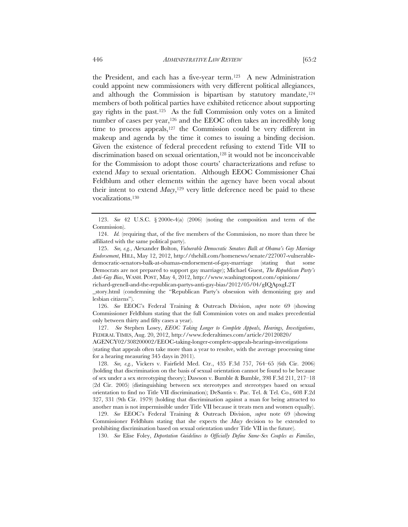the President, and each has a five-year term.123 A new Administration could appoint new commissioners with very different political allegiances, and although the Commission is bipartisan by statutory mandate,  $124$ members of both political parties have exhibited reticence about supporting gay rights in the past.125 As the full Commission only votes on a limited number of cases per year,<sup>126</sup> and the EEOC often takes an incredibly long time to process appeals,<sup>127</sup> the Commission could be very different in makeup and agenda by the time it comes to issuing a binding decision. Given the existence of federal precedent refusing to extend Title VII to discrimination based on sexual orientation,128 it would not be inconceivable for the Commission to adopt those courts' characterizations and refuse to extend *Macy* to sexual orientation. Although EEOC Commissioner Chai Feldblum and other elements within the agency have been vocal about their intent to extend  $\text{Macy}$ ,<sup>129</sup> very little deference need be paid to these vocalizations.130

richard-grenell-and-the-republican-partys-anti-gay-bias/2012/05/04/gIQApxgL2T

\_story.html (condemning the "Republican Party's obsession with demonizing gay and lesbian citizens").

 126. *See* EEOC's Federal Training & Outreach Division, *supra* note 69 (showing Commissioner Feldblum stating that the full Commission votes on and makes precedential only between thirty and fifty cases a year).

 127. *See* Stephen Losey, *EEOC Taking Longer to Complete Appeals, Hearings, Investigations*, FEDERAL TIMES, Aug. 20, 2012, http://www.federaltimes.com/article/20120820/

AGENCY02/308200002/EEOC-taking-longer-complete-appeals-hearings-investigations (stating that appeals often take more than a year to resolve, with the average processing time for a hearing measuring 345 days in 2011).

 128. *See, e.g.*, Vickers v. Fairfield Med. Ctr., 435 F.3d 757, 764–65 (6th Cir. 2006) (holding that discrimination on the basis of sexual orientation cannot be found to be because of sex under a sex stereotyping theory); Dawson v. Bumble & Bumble, 398 F.3d 211, 217–18 (2d Cir. 2005) (distinguishing between sex stereotypes and stereotypes based on sexual orientation to find no Title VII discrimination); DeSantis v. Pac. Tel. & Tel. Co., 608 F.2d 327, 331 (9th Cir. 1979) (holding that discrimination against a man for being attracted to another man is not impermissible under Title VII because it treats men and women equally).

 129. *See* EEOC's Federal Training & Outreach Division, *supra* note 69 (showing Commissioner Feldblum stating that she expects the *Macy* decision to be extended to prohibiting discrimination based on sexual orientation under Title VII in the future).

130. *See* Elise Foley, *Deportation Guidelines to Officially Define Same-Sex Couples as Families*,

 <sup>123.</sup> *See* 42 U.S.C. § 2000e-4(a) (2006) (noting the composition and term of the Commission).

 <sup>124.</sup> *Id.* (requiring that, of the five members of the Commission, no more than three be affiliated with the same political party).

 <sup>125.</sup> *See, e.g.*, Alexander Bolton, *Vulnerable Democratic Senators Balk at Obama's Gay Marriage Endorsement*, HILL, May 12, 2012, http://thehill.com/homenews/senate/227007-vulnerabledemocratic-senators-balk-at-obamas-endorsement-of-gay-marriage (stating that some Democrats are not prepared to support gay marriage); Michael Guest, *The Republican Party's Anti-Gay Bias*, WASH. POST, May 4, 2012, http://www.washingtonpost.com/opinions/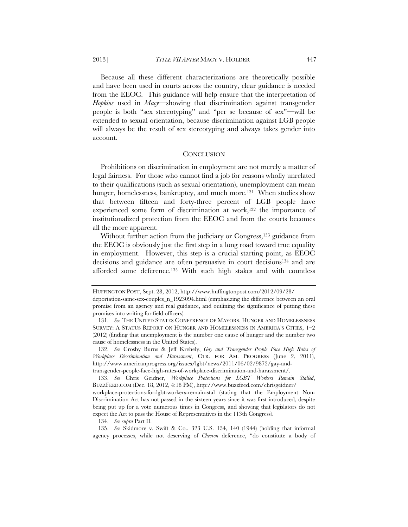Because all these different characterizations are theoretically possible and have been used in courts across the country, clear guidance is needed from the EEOC. This guidance will help ensure that the interpretation of *Hopkins* used in *Macy*—showing that discrimination against transgender people is both "sex stereotyping" and "per se because of sex"—will be extended to sexual orientation, because discrimination against LGB people will always be the result of sex stereotyping and always takes gender into account.

#### **CONCLUSION**

Prohibitions on discrimination in employment are not merely a matter of legal fairness. For those who cannot find a job for reasons wholly unrelated to their qualifications (such as sexual orientation), unemployment can mean hunger, homelessness, bankruptcy, and much more.<sup>131</sup> When studies show that between fifteen and forty-three percent of LGB people have experienced some form of discrimination at work,<sup>132</sup> the importance of institutionalized protection from the EEOC and from the courts becomes all the more apparent.

Without further action from the judiciary or Congress,<sup>133</sup> guidance from the EEOC is obviously just the first step in a long road toward true equality in employment. However, this step is a crucial starting point, as EEOC decisions and guidance are often persuasive in court decisions<sup>134</sup> and are afforded some deference.135 With such high stakes and with countless

HUFFINGTON POST, Sept. 28, 2012, http://www.huffingtonpost.com/2012/09/28/

deportation-same-sex-couples\_n\_1923094.html (emphasizing the difference between an oral promise from an agency and real guidance, and outlining the significance of putting these promises into writing for field officers).

 <sup>131.</sup> *See* THE UNITED STATES CONFERENCE OF MAYORS, HUNGER AND HOMELESSNESS SURVEY: A STATUS REPORT ON HUNGER AND HOMELESSNESS IN AMERICA'S CITIES, 1–2 (2012) (finding that unemployment is the number one cause of hunger and the number two cause of homelessness in the United States).

 <sup>132.</sup> *See* Crosby Burns & Jeff Krehely, *Gay and Transgender People Face High Rates of Workplace Discrimination and Harassment*, CTR. FOR AM. PROGRESS (June 2, 2011), http://www.americanprogress.org/issues/lgbt/news/2011/06/02/9872/gay-andtransgender-people-face-high-rates-of-workplace-discrimination-and-harassment/.

 <sup>133.</sup> *See* Chris Geidner, *Workplace Protections for LGBT Workers Remain Stalled*, BUZZFEED.COM (Dec. 18, 2012, 4:18 PM), http://www.buzzfeed.com/chrisgeidner/

workplace-protections-for-lgbt-workers-remain-stal (stating that the Employment Non-Discrimination Act has not passed in the sixteen years since it was first introduced, despite being put up for a vote numerous times in Congress, and showing that legislators do not expect the Act to pass the House of Representatives in the 113th Congress).

 <sup>134.</sup> *See supra* Part II.

 <sup>135.</sup> *See* Skidmore v. Swift & Co., 323 U.S. 134, 140 (1944) (holding that informal agency processes, while not deserving of *Chevron* deference, "do constitute a body of